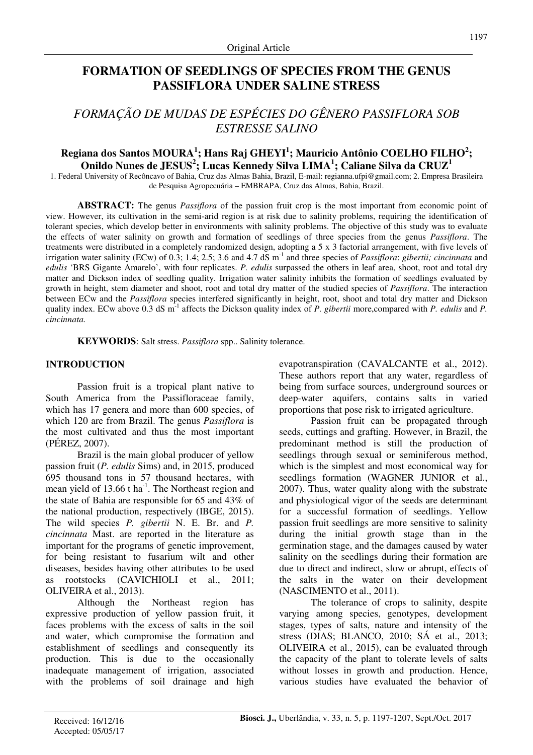# **FORMATION OF SEEDLINGS OF SPECIES FROM THE GENUS PASSIFLORA UNDER SALINE STRESS**

# *FORMAÇÃO DE MUDAS DE ESPÉCIES DO GÊNERO PASSIFLORA SOB ESTRESSE SALINO*

# **Regiana dos Santos MOURA<sup>1</sup> ; Hans Raj GHEYI<sup>1</sup> ; Mauricio Antônio COELHO FILHO<sup>2</sup> ; Onildo Nunes de JESUS<sup>2</sup> ; Lucas Kennedy Silva LIMA<sup>1</sup> ; Caliane Silva da CRUZ<sup>1</sup>**

1. Federal University of Recôncavo of Bahia, Cruz das Almas Bahia, Brazil, E-mail: regianna.ufpi@gmail.com; 2. Empresa Brasileira de Pesquisa Agropecuária – EMBRAPA, Cruz das Almas, Bahia, Brazil.

**ABSTRACT:** The genus *Passiflora* of the passion fruit crop is the most important from economic point of view. However, its cultivation in the semi-arid region is at risk due to salinity problems, requiring the identification of tolerant species, which develop better in environments with salinity problems. The objective of this study was to evaluate the effects of water salinity on growth and formation of seedlings of three species from the genus *Passiflora*. The treatments were distributed in a completely randomized design, adopting a 5 x 3 factorial arrangement, with five levels of irrigation water salinity (ECw) of 0.3; 1.4; 2.5; 3.6 and 4.7 dS m<sup>-1</sup> and three species of *Passiflora*: *gibertii; cincinnata* and *edulis* 'BRS Gigante Amarelo', with four replicates. *P. edulis* surpassed the others in leaf area, shoot, root and total dry matter and Dickson index of seedling quality. Irrigation water salinity inhibits the formation of seedlings evaluated by growth in height, stem diameter and shoot, root and total dry matter of the studied species of *Passiflora*. The interaction between ECw and the *Passiflora* species interfered significantly in height, root, shoot and total dry matter and Dickson quality index. ECw above 0.3 dS m<sup>-1</sup> affects the Dickson quality index of *P. gibertii* more,compared with *P. edulis* and *P. cincinnata.*

**KEYWORDS**: Salt stress. *Passiflora* spp.. Salinity tolerance.

### **INTRODUCTION**

Passion fruit is a tropical plant native to South America from the Passifloraceae family, which has 17 genera and more than 600 species, of which 120 are from Brazil. The genus *Passiflora* is the most cultivated and thus the most important (PÉREZ, 2007).

Brazil is the main global producer of yellow passion fruit (*P. edulis* Sims) and, in 2015, produced 695 thousand tons in 57 thousand hectares, with mean yield of  $13.66$  t ha<sup>-1</sup>. The Northeast region and the state of Bahia are responsible for 65 and 43% of the national production, respectively (IBGE, 2015). The wild species *P. gibertii* N. E. Br. and *P. cincinnata* Mast. are reported in the literature as important for the programs of genetic improvement, for being resistant to fusarium wilt and other diseases, besides having other attributes to be used as rootstocks (CAVICHIOLI et al., 2011; OLIVEIRA et al., 2013).

Although the Northeast region has expressive production of yellow passion fruit, it faces problems with the excess of salts in the soil and water, which compromise the formation and establishment of seedlings and consequently its production. This is due to the occasionally inadequate management of irrigation, associated with the problems of soil drainage and high evapotranspiration (CAVALCANTE et al., 2012). These authors report that any water, regardless of being from surface sources, underground sources or deep-water aquifers, contains salts in varied proportions that pose risk to irrigated agriculture.

Passion fruit can be propagated through seeds, cuttings and grafting. However, in Brazil, the predominant method is still the production of seedlings through sexual or seminiferous method, which is the simplest and most economical way for seedlings formation (WAGNER JUNIOR et al., 2007). Thus, water quality along with the substrate and physiological vigor of the seeds are determinant for a successful formation of seedlings. Yellow passion fruit seedlings are more sensitive to salinity during the initial growth stage than in the germination stage, and the damages caused by water salinity on the seedlings during their formation are due to direct and indirect, slow or abrupt, effects of the salts in the water on their development (NASCIMENTO et al., 2011).

The tolerance of crops to salinity, despite varying among species, genotypes, development stages, types of salts, nature and intensity of the stress (DIAS; BLANCO, 2010; SÁ et al., 2013; OLIVEIRA et al., 2015), can be evaluated through the capacity of the plant to tolerate levels of salts without losses in growth and production. Hence, various studies have evaluated the behavior of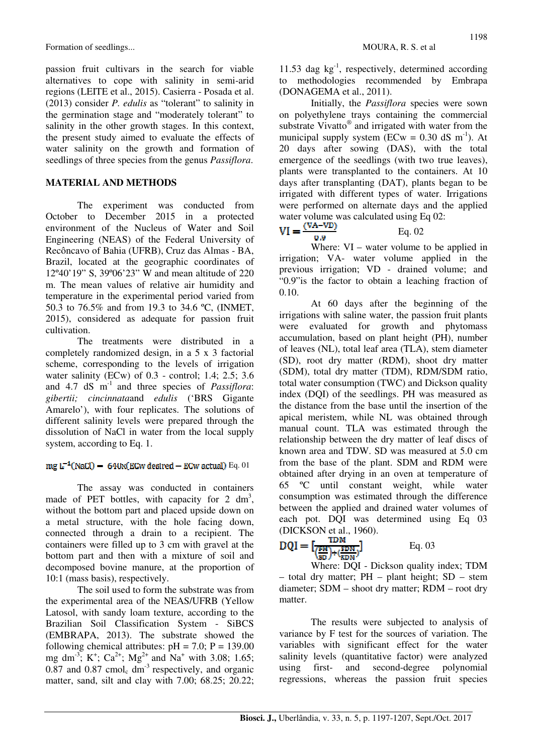passion fruit cultivars in the search for viable alternatives to cope with salinity in semi-arid regions (LEITE et al., 2015). Casierra - Posada et al. (2013) consider *P. edulis* as "tolerant" to salinity in the germination stage and "moderately tolerant" to salinity in the other growth stages. In this context, the present study aimed to evaluate the effects of water salinity on the growth and formation of seedlings of three species from the genus *Passiflora*.

## **MATERIAL AND METHODS**

The experiment was conducted from October to December 2015 in a protected environment of the Nucleus of Water and Soil Engineering (NEAS) of the Federal University of Recôncavo of Bahia (UFRB), Cruz das Almas - BA, Brazil, located at the geographic coordinates of 12º40'19" S, 39º06'23" W and mean altitude of 220 m. The mean values of relative air humidity and temperature in the experimental period varied from 50.3 to 76.5% and from 19.3 to 34.6 ºC, (INMET, 2015), considered as adequate for passion fruit cultivation.

The treatments were distributed in a completely randomized design, in a 5 x 3 factorial scheme, corresponding to the levels of irrigation water salinity (ECw) of 0.3 - control; 1.4; 2.5; 3.6 and 4.7 dS m-1 and three species of *Passiflora*: *gibertii; cincinnata*and *edulis* ('BRS Gigante Amarelo'), with four replicates. The solutions of different salinity levels were prepared through the dissolution of NaCl in water from the local supply system, according to Eq. 1.

## $mg L^{-1}(NaCl) = 640x(ECW$  desired - ECw actual) Eq. 01

The assay was conducted in containers made of PET bottles, with capacity for  $2 \text{ dm}^3$ , without the bottom part and placed upside down on a metal structure, with the hole facing down, connected through a drain to a recipient. The containers were filled up to 3 cm with gravel at the bottom part and then with a mixture of soil and decomposed bovine manure, at the proportion of 10:1 (mass basis), respectively.

The soil used to form the substrate was from the experimental area of the NEAS/UFRB (Yellow Latosol, with sandy loam texture, according to the Brazilian Soil Classification System - SiBCS (EMBRAPA, 2013). The substrate showed the following chemical attributes:  $pH = 7.0$ ;  $P = 139.00$ mg dm<sup>-3</sup>; K<sup>+</sup>; Ca<sup>2+</sup>; Mg<sup>2+</sup> and Na<sup>+</sup> with 3.08; 1.65;  $0.87$  and  $0.87$  cmol<sub>c</sub> dm<sup>-3</sup> respectively, and organic matter, sand, silt and clay with 7.00; 68.25; 20.22;

11.53 dag  $kg^{-1}$ , respectively, determined according to methodologies recommended by Embrapa (DONAGEMA et al., 2011).

Initially, the *Passiflora* species were sown on polyethylene trays containing the commercial substrate Vivatto® and irrigated with water from the municipal supply system ( $ECw = 0.30$  dS m<sup>-1</sup>). At 20 days after sowing (DAS), with the total emergence of the seedlings (with two true leaves), plants were transplanted to the containers. At 10 days after transplanting (DAT), plants began to be irrigated with different types of water. Irrigations were performed on alternate days and the applied water volume was calculated using Eq 02:<br>  $VI = \frac{(VA - VD)}{PQ}$ 

# $0.9$

Where:  $VI$  – water volume to be applied in irrigation; VA- water volume applied in the previous irrigation; VD - drained volume; and "0.9"is the factor to obtain a leaching fraction of 0.10.

Eq. 02

At 60 days after the beginning of the irrigations with saline water, the passion fruit plants were evaluated for growth and phytomass accumulation, based on plant height (PH), number of leaves (NL), total leaf area (TLA), stem diameter (SD), root dry matter (RDM), shoot dry matter (SDM), total dry matter (TDM), RDM/SDM ratio, total water consumption (TWC) and Dickson quality index (DQI) of the seedlings. PH was measured as the distance from the base until the insertion of the apical meristem, while NL was obtained through manual count. TLA was estimated through the relationship between the dry matter of leaf discs of known area and TDW. SD was measured at 5.0 cm from the base of the plant. SDM and RDM were obtained after drying in an oven at temperature of 65 ºC until constant weight, while water consumption was estimated through the difference between the applied and drained water volumes of each pot. DQI was determined using Eq 03 (DICKSON et al., 1960).

$$
DQI = \left[\frac{TDM}{\left(\frac{FH}{SD}\right) + \left(\frac{SDM}{RDM}\right)}\right]
$$
 Eq. 03

Where: DQI - Dickson quality index; TDM – total dry matter; PH – plant height; SD – stem diameter; SDM – shoot dry matter; RDM – root dry matter.

The results were subjected to analysis of variance by F test for the sources of variation. The variables with significant effect for the water salinity levels (quantitative factor) were analyzed using first- and second-degree polynomial regressions, whereas the passion fruit species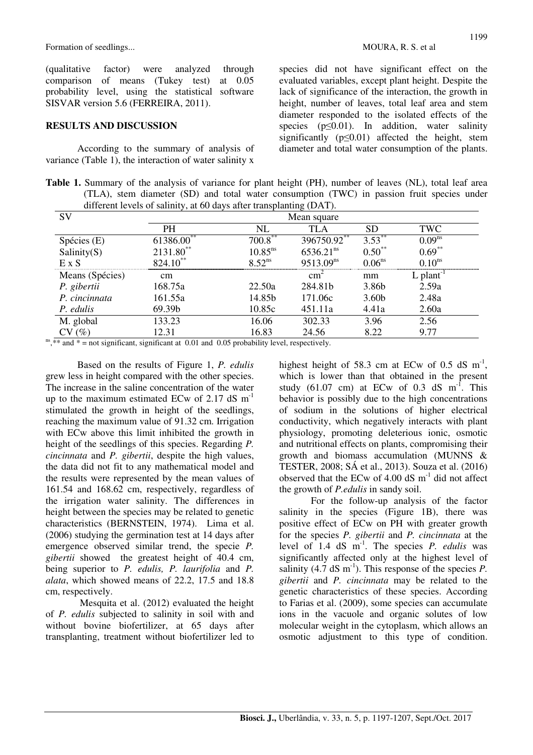(qualitative factor) were analyzed through comparison of means (Tukey test) at 0.05 probability level, using the statistical software SISVAR version 5.6 (FERREIRA, 2011).

#### **RESULTS AND DISCUSSION**

According to the summary of analysis of variance (Table 1), the interaction of water salinity x species did not have significant effect on the

evaluated variables, except plant height. Despite the lack of significance of the interaction, the growth in height, number of leaves, total leaf area and stem diameter responded to the isolated effects of the species ( $p \le 0.01$ ). In addition, water salinity significantly ( $p \le 0.01$ ) affected the height, stem diameter and total water consumption of the plants.

Table 1. Summary of the analysis of variance for plant height (PH), number of leaves (NL), total leaf area (TLA), stem diameter (SD) and total water consumption (TWC) in passion fruit species under different levels of salinity, at 60 days after transplanting (DAT).

| SV              | Mean square   |                    |                       |                   |                         |  |  |
|-----------------|---------------|--------------------|-----------------------|-------------------|-------------------------|--|--|
|                 | PН            | NL                 | TLA                   | SD                | TWC                     |  |  |
| Spécies (E)     | 61386.00      | $700.8$ **         | 396750.92             | $3.53***$         | 0.09 <sup>ns</sup>      |  |  |
| Salinity(S)     | 2131.80**     | $10.85^{ns}$       | 6536.21 <sup>ns</sup> | $0.50**$          | $0.69**$                |  |  |
| E X S           | $824.10^{**}$ | 8.52 <sup>ns</sup> | 9513.09 <sup>ns</sup> | $0.06^{ns}$       | $0.10^{ns}$             |  |  |
| Means (Spécies) | $\rm cm$      |                    | $\text{cm}^2$         | mm                | $L$ plant <sup>-1</sup> |  |  |
| P. gibertii     | 168.75a       | 22.50a             | 284.81b               | 3.86b             | 2.59a                   |  |  |
| P. cincinnata   | 161.55a       | 14.85b             | 171.06c               | 3.60 <sub>b</sub> | 2.48a                   |  |  |
| P. edulis       | 69.39b        | 10.85c             | 451.11a               | 4.41a             | 2.60a                   |  |  |
| M. global       | 133.23        | 16.06              | 302.33                | 3.96              | 2.56                    |  |  |
| $(\%)$          | 12.31         | 16.83              | 24.56                 | 8.22              | 9.77                    |  |  |

 $n s$ <sup>\*\*</sup> and  $\ast$  = not significant, significant at 0.01 and 0.05 probability level, respectively.

Based on the results of Figure 1, *P. edulis*  grew less in height compared with the other species. The increase in the saline concentration of the water up to the maximum estimated ECw of  $2.17 \text{ dS m}^{-1}$ stimulated the growth in height of the seedlings, reaching the maximum value of 91.32 cm. Irrigation with ECw above this limit inhibited the growth in height of the seedlings of this species. Regarding *P. cincinnata* and *P. gibertii*, despite the high values, the data did not fit to any mathematical model and the results were represented by the mean values of 161.54 and 168.62 cm, respectively, regardless of the irrigation water salinity. The differences in height between the species may be related to genetic characteristics (BERNSTEIN, 1974). Lima et al. (2006) studying the germination test at 14 days after emergence observed similar trend, the specie *P. gibertii* showed the greatest height of 40.4 cm, being superior to *P. edulis, P. laurifolia* and *P. alata*, which showed means of 22.2, 17.5 and 18.8 cm, respectively.

 Mesquita et al. (2012) evaluated the height of *P. edulis* subjected to salinity in soil with and without bovine biofertilizer, at 65 days after transplanting, treatment without biofertilizer led to

highest height of 58.3 cm at ECw of 0.5 dS  $m^{-1}$ , which is lower than that obtained in the present study (61.07 cm) at ECw of 0.3 dS  $m^{-1}$ . This behavior is possibly due to the high concentrations of sodium in the solutions of higher electrical conductivity, which negatively interacts with plant physiology, promoting deleterious ionic, osmotic and nutritional effects on plants, compromising their growth and biomass accumulation (MUNNS & TESTER, 2008; SÁ et al., 2013). Souza et al. (2016) observed that the ECw of  $4.00$  dS  $\text{m}^{\text{-}1}$  did not affect the growth of *P.edulis* in sandy soil.

For the follow-up analysis of the factor salinity in the species (Figure 1B), there was positive effect of ECw on PH with greater growth for the species *P. gibertii* and *P. cincinnata* at the level of 1.4 dS m-1. The species *P. edulis* was significantly affected only at the highest level of salinity  $(4.7 \text{ dS m}^{-1})$ . This response of the species *P*. *gibertii* and *P. cincinnata* may be related to the genetic characteristics of these species. According to Farias et al. (2009), some species can accumulate ions in the vacuole and organic solutes of low molecular weight in the cytoplasm, which allows an osmotic adjustment to this type of condition.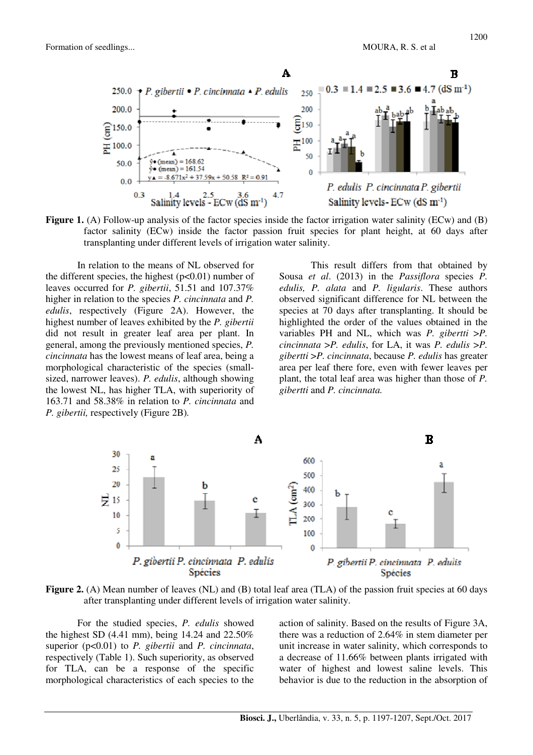

Figure 1. (A) Follow-up analysis of the factor species inside the factor irrigation water salinity (ECw) and (B) factor salinity (ECw) inside the factor passion fruit species for plant height, at 60 days after transplanting under different levels of irrigation water salinity.

In relation to the means of NL observed for the different species, the highest  $(p<0.01)$  number of leaves occurred for *P. gibertii*, 51.51 and 107.37% higher in relation to the species *P. cincinnata* and *P. edulis*, respectively (Figure 2A). However, the highest number of leaves exhibited by the *P. gibertii* did not result in greater leaf area per plant. In general, among the previously mentioned species, *P. cincinnata* has the lowest means of leaf area, being a morphological characteristic of the species (smallsized, narrower leaves). *P. edulis*, although showing the lowest NL, has higher TLA, with superiority of 163.71 and 58.38% in relation to *P. cincinnata* and *P. gibertii,* respectively (Figure 2B)*.* 

This result differs from that obtained by Sousa *et al*. (2013) in the *Passiflora* species *P. edulis, P. alata* and *P. ligularis*. These authors observed significant difference for NL between the species at 70 days after transplanting. It should be highlighted the order of the values obtained in the variables PH and NL, which was *P. gibertti* >*P. cincinnata* >*P. edulis*, for LA, it was *P. edulis* >*P. gibertti* >*P. cincinnata*, because *P. edulis* has greater area per leaf there fore, even with fewer leaves per plant, the total leaf area was higher than those of *P. gibertti* and *P. cincinnata.* 



**Figure 2.** (A) Mean number of leaves (NL) and (B) total leaf area (TLA) of the passion fruit species at 60 days after transplanting under different levels of irrigation water salinity.

For the studied species, *P. edulis* showed the highest SD (4.41 mm), being 14.24 and 22.50% superior (p<0.01) to *P. gibertii* and *P. cincinnata*, respectively (Table 1). Such superiority, as observed for TLA, can be a response of the specific morphological characteristics of each species to the

action of salinity. Based on the results of Figure 3A, there was a reduction of 2.64% in stem diameter per unit increase in water salinity, which corresponds to a decrease of 11.66% between plants irrigated with water of highest and lowest saline levels. This behavior is due to the reduction in the absorption of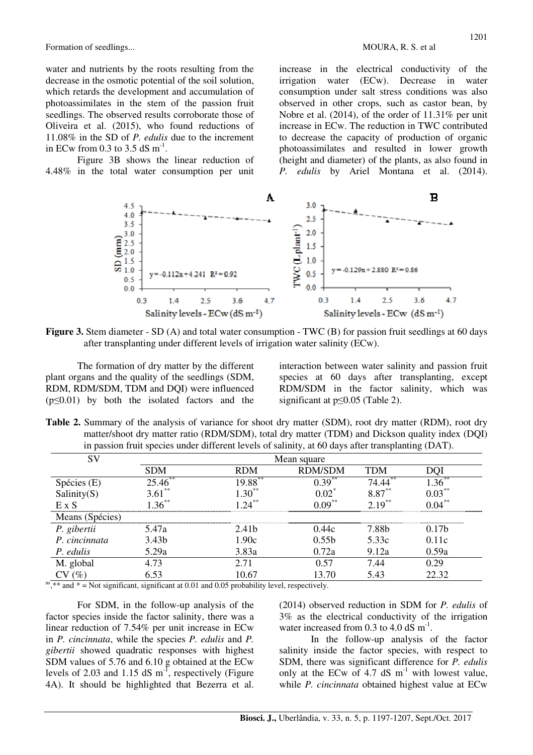water and nutrients by the roots resulting from the decrease in the osmotic potential of the soil solution, which retards the development and accumulation of photoassimilates in the stem of the passion fruit seedlings. The observed results corroborate those of Oliveira et al. (2015), who found reductions of 11.08% in the SD of *P. edulis* due to the increment in ECw from 0.3 to 3.5 dS  $m^{-1}$ .

Figure 3B shows the linear reduction of 4.48% in the total water consumption per unit increase in the electrical conductivity of the irrigation water (ECw). Decrease in water consumption under salt stress conditions was also observed in other crops, such as castor bean, by Nobre et al. (2014), of the order of 11.31% per unit increase in ECw. The reduction in TWC contributed to decrease the capacity of production of organic photoassimilates and resulted in lower growth (height and diameter) of the plants, as also found in *P. edulis* by Ariel Montana et al. (2014).



**Figure 3.** Stem diameter - SD (A) and total water consumption - TWC (B) for passion fruit seedlings at 60 days after transplanting under different levels of irrigation water salinity (ECw).

The formation of dry matter by the different plant organs and the quality of the seedlings (SDM, RDM, RDM/SDM, TDM and DQI) were influenced  $(p \le 0.01)$  by both the isolated factors and the

interaction between water salinity and passion fruit species at 60 days after transplanting, except RDM/SDM in the factor salinity, which was significant at p≤0.05 (Table 2).

**Table 2.** Summary of the analysis of variance for shoot dry matter (SDM), root dry matter (RDM), root dry matter/shoot dry matter ratio (RDM/SDM), total dry matter (TDM) and Dickson quality index (DQI) in passion fruit species under different levels of salinity, at 60 days after transplanting (DAT).

| SV              |                   | Mean square       |                   |           |           |  |  |  |
|-----------------|-------------------|-------------------|-------------------|-----------|-----------|--|--|--|
|                 | <b>SDM</b>        | <b>RDM</b>        | <b>RDM/SDM</b>    | TDM       |           |  |  |  |
| Spécies (E)     | 25.46             | 19.88 $^{\circ}$  | $0.39***$         | 74.44     |           |  |  |  |
| Salinity $(S)$  | $3.61***$         | $1.30***$         | $0.02^*$          | $8.87***$ | $0.03***$ |  |  |  |
| E X S           | $136^{**}$        | $2\pi$            | $0.09***$         | $2.19***$ | $0.04**$  |  |  |  |
| Means (Spécies) |                   |                   |                   |           |           |  |  |  |
| P. gibertii     | 5.47a             | 2.41 <sub>b</sub> | 0.44c             | 7.88h     | 0 17h     |  |  |  |
| P. cincinnata   | 3.43 <sub>b</sub> | 1.90c             | 0.55 <sub>b</sub> | 5.33c     | 0.11c     |  |  |  |
| P. edulis       | 5.29a             | 3.83a             | 0.72a             | 9.12a     | 0.59a     |  |  |  |
| M. global       | 4.73              | 2.71              | 0.57              | 7.44      | 0.29      |  |  |  |
|                 | 6.53              | 10.67             | 13.70             | 5.43      | 22.32     |  |  |  |

 $n s<sub>1</sub>$ <sup>as</sup>,  $*$  and  $*$  = Not significant, significant at 0.01 and 0.05 probability level, respectively.

For SDM, in the follow-up analysis of the factor species inside the factor salinity, there was a linear reduction of 7.54% per unit increase in ECw in *P. cincinnata*, while the species *P. edulis* and *P. gibertii* showed quadratic responses with highest SDM values of 5.76 and 6.10 g obtained at the ECw levels of 2.03 and 1.15 dS  $m^{-1}$ , respectively (Figure 4A). It should be highlighted that Bezerra et al.

(2014) observed reduction in SDM for *P. edulis* of 3% as the electrical conductivity of the irrigation water increased from 0.3 to 4.0  $dS$  m<sup>-1</sup>.

In the follow-up analysis of the factor salinity inside the factor species, with respect to SDM, there was significant difference for *P. edulis*  only at the ECw of 4.7 dS  $m^{-1}$  with lowest value, while *P. cincinnata* obtained highest value at ECw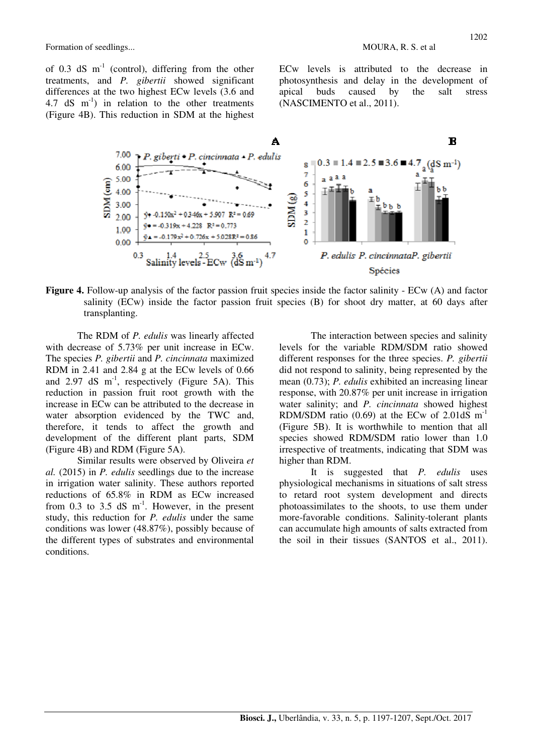of 0.3 dS  $m^{-1}$  (control), differing from the other treatments, and *P. gibertii* showed significant differences at the two highest ECw levels (3.6 and 4.7 dS  $m^{-1}$ ) in relation to the other treatments (Figure 4B). This reduction in SDM at the highest ECw levels is attributed to the decrease in photosynthesis and delay in the development of apical buds caused by the salt stress (NASCIMENTO et al., 2011).



**Figure 4.** Follow-up analysis of the factor passion fruit species inside the factor salinity - ECw (A) and factor salinity (ECw) inside the factor passion fruit species (B) for shoot dry matter, at 60 days after transplanting.

The RDM of *P. edulis* was linearly affected with decrease of 5.73% per unit increase in ECw. The species *P. gibertii* and *P. cincinnata* maximized RDM in 2.41 and 2.84 g at the ECw levels of 0.66 and 2.97 dS  $m^{-1}$ , respectively (Figure 5A). This reduction in passion fruit root growth with the increase in ECw can be attributed to the decrease in water absorption evidenced by the TWC and, therefore, it tends to affect the growth and development of the different plant parts, SDM (Figure 4B) and RDM (Figure 5A).

Similar results were observed by Oliveira *et al.* (2015) in *P. edulis* seedlings due to the increase in irrigation water salinity. These authors reported reductions of 65.8% in RDM as ECw increased from 0.3 to 3.5 dS  $m^{-1}$ . However, in the present study, this reduction for *P. edulis* under the same conditions was lower (48.87%), possibly because of the different types of substrates and environmental conditions.

The interaction between species and salinity levels for the variable RDM/SDM ratio showed different responses for the three species. *P. gibertii*  did not respond to salinity, being represented by the mean (0.73); *P. edulis* exhibited an increasing linear response, with 20.87% per unit increase in irrigation water salinity; and *P. cincinnata* showed highest RDM/SDM ratio  $(0.69)$  at the ECw of 2.01dS m<sup>-1</sup> (Figure 5B). It is worthwhile to mention that all species showed RDM/SDM ratio lower than 1.0 irrespective of treatments, indicating that SDM was higher than RDM.

It is suggested that *P. edulis* uses physiological mechanisms in situations of salt stress to retard root system development and directs photoassimilates to the shoots, to use them under more-favorable conditions. Salinity-tolerant plants can accumulate high amounts of salts extracted from the soil in their tissues (SANTOS et al., 2011).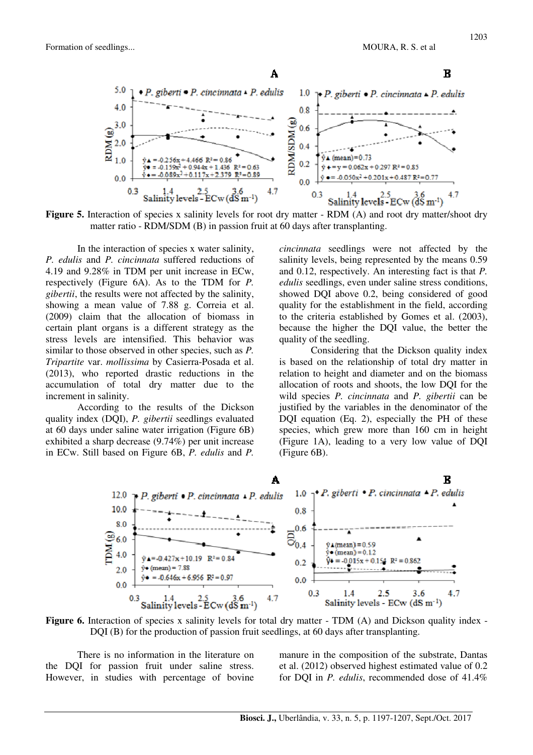

**Figure 5.** Interaction of species x salinity levels for root dry matter - RDM (A) and root dry matter/shoot dry matter ratio - RDM/SDM (B) in passion fruit at 60 days after transplanting.

In the interaction of species x water salinity, *P. edulis* and *P. cincinnata* suffered reductions of 4.19 and 9.28% in TDM per unit increase in ECw, respectively (Figure 6A). As to the TDM for *P. gibertii*, the results were not affected by the salinity, showing a mean value of 7.88 g. Correia et al. (2009) claim that the allocation of biomass in certain plant organs is a different strategy as the stress levels are intensified. This behavior was similar to those observed in other species, such as *P. Tripartite* var. *mollissima* by Casierra-Posada et al. (2013), who reported drastic reductions in the accumulation of total dry matter due to the increment in salinity.

According to the results of the Dickson quality index (DQI), *P. gibertii* seedlings evaluated at 60 days under saline water irrigation (Figure 6B) exhibited a sharp decrease (9.74%) per unit increase in ECw. Still based on Figure 6B, *P. edulis* and *P.* 

*cincinnata* seedlings were not affected by the salinity levels, being represented by the means 0.59 and 0.12, respectively. An interesting fact is that *P. edulis* seedlings, even under saline stress conditions, showed DQI above 0.2, being considered of good quality for the establishment in the field, according to the criteria established by Gomes et al. (2003), because the higher the DQI value, the better the quality of the seedling.

Considering that the Dickson quality index is based on the relationship of total dry matter in relation to height and diameter and on the biomass allocation of roots and shoots, the low DQI for the wild species *P. cincinnata* and *P. gibertii* can be justified by the variables in the denominator of the DQI equation (Eq. 2), especially the PH of these species, which grew more than 160 cm in height (Figure 1A), leading to a very low value of DQI (Figure 6B).



**Figure 6.** Interaction of species x salinity levels for total dry matter - TDM (A) and Dickson quality index -DQI (B) for the production of passion fruit seedlings, at 60 days after transplanting.

There is no information in the literature on the DQI for passion fruit under saline stress. However, in studies with percentage of bovine

manure in the composition of the substrate, Dantas et al. (2012) observed highest estimated value of 0.2 for DQI in *P. edulis*, recommended dose of 41.4%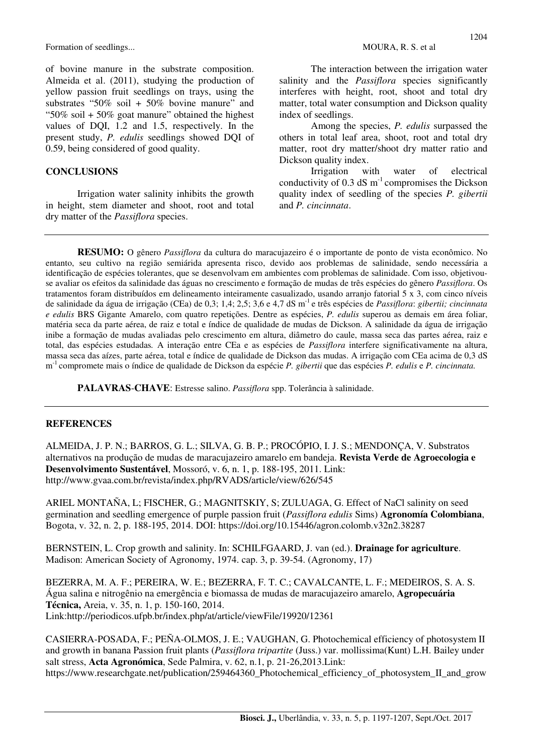of bovine manure in the substrate composition. Almeida et al. (2011), studying the production of yellow passion fruit seedlings on trays, using the substrates "50% soil + 50% bovine manure" and "50% soil  $+50\%$  goat manure" obtained the highest values of DQI, 1.2 and 1.5, respectively. In the present study, *P. edulis* seedlings showed DQI of 0.59, being considered of good quality.

#### **CONCLUSIONS**

Irrigation water salinity inhibits the growth in height, stem diameter and shoot, root and total dry matter of the *Passiflora* species.

The interaction between the irrigation water salinity and the *Passiflora* species significantly interferes with height, root, shoot and total dry matter, total water consumption and Dickson quality index of seedlings.

Among the species, *P. edulis* surpassed the others in total leaf area, shoot, root and total dry matter, root dry matter/shoot dry matter ratio and Dickson quality index.

Irrigation with water of electrical conductivity of  $0.3$  dS m<sup>-1</sup> compromises the Dickson quality index of seedling of the species *P. gibertii*  and *P. cincinnata*.

**RESUMO:** O gênero *Passiflora* da cultura do maracujazeiro é o importante de ponto de vista econômico. No entanto, seu cultivo na região semiárida apresenta risco, devido aos problemas de salinidade, sendo necessária a identificação de espécies tolerantes, que se desenvolvam em ambientes com problemas de salinidade. Com isso, objetivouse avaliar os efeitos da salinidade das águas no crescimento e formação de mudas de três espécies do gênero *Passiflora*. Os tratamentos foram distribuídos em delineamento inteiramente casualizado, usando arranjo fatorial 5 x 3, com cinco níveis de salinidade da água de irrigação (CEa) de 0,3; 1,4; 2,5; 3,6 e 4,7 dS m-1 e três espécies de *Passiflora*: *gibertii; cincinnata e edulis* BRS Gigante Amarelo, com quatro repetições. Dentre as espécies, *P. edulis* superou as demais em área foliar, matéria seca da parte aérea, de raiz e total e índice de qualidade de mudas de Dickson. A salinidade da água de irrigação inibe a formação de mudas avaliadas pelo crescimento em altura, diâmetro do caule, massa seca das partes aérea, raiz e total, das espécies estudadas*.* A interação entre CEa e as espécies de *Passiflora* interfere significativamente na altura, massa seca das aízes, parte aérea, total e índice de qualidade de Dickson das mudas. A irrigação com CEa acima de 0,3 dS m -1 compromete mais o índice de qualidade de Dickson da espécie *P. gibertii* que das espécies *P. edulis* e *P. cincinnata.*

**PALAVRAS**-**CHAVE**: Estresse salino. *Passiflora* spp. Tolerância à salinidade.

#### **REFERENCES**

ALMEIDA, J. P. N.; BARROS, G. L.; SILVA, G. B. P.; PROCÓPIO, I. J. S.; MENDONÇA, V. Substratos alternativos na produção de mudas de maracujazeiro amarelo em bandeja. **Revista Verde de Agroecologia e Desenvolvimento Sustentável**, Mossoró, v. 6, n. 1, p. 188-195, 2011. Link: http://www.gvaa.com.br/revista/index.php/RVADS/article/view/626/545

ARIEL MONTAÑA, L; FISCHER, G.; MAGNITSKIY, S; ZULUAGA, G. Effect of NaCl salinity on seed germination and seedling emergence of purple passion fruit (*Passiflora edulis* Sims) **Agronomía Colombiana**, Bogota, v. 32, n. 2, p. 188-195, 2014. DOI: https://doi.org/10.15446/agron.colomb.v32n2.38287

BERNSTEIN, L. Crop growth and salinity. In: SCHILFGAARD, J. van (ed.). **Drainage for agriculture**. Madison: American Society of Agronomy, 1974. cap. 3, p. 39-54. (Agronomy, 17)

BEZERRA, M. A. F.; PEREIRA, W. E.; BEZERRA, F. T. C.; CAVALCANTE, L. F.; MEDEIROS, S. A. S. Água salina e nitrogênio na emergência e biomassa de mudas de maracujazeiro amarelo, **Agropecuária Técnica,** Areia, v. 35, n. 1, p. 150-160, 2014. Link:http://periodicos.ufpb.br/index.php/at/article/viewFile/19920/12361

CASIERRA-POSADA, F.; PEÑA-OLMOS, J. E.; VAUGHAN, G. Photochemical efficiency of photosystem II and growth in banana Passion fruit plants (*Passiflora tripartite* (Juss.) var. mollissima(Kunt) L.H. Bailey under salt stress, **Acta Agronómica**, Sede Palmira, v. 62, n.1, p. 21-26,2013.Link: https://www.researchgate.net/publication/259464360\_Photochemical\_efficiency\_of\_photosystem\_II\_and\_grow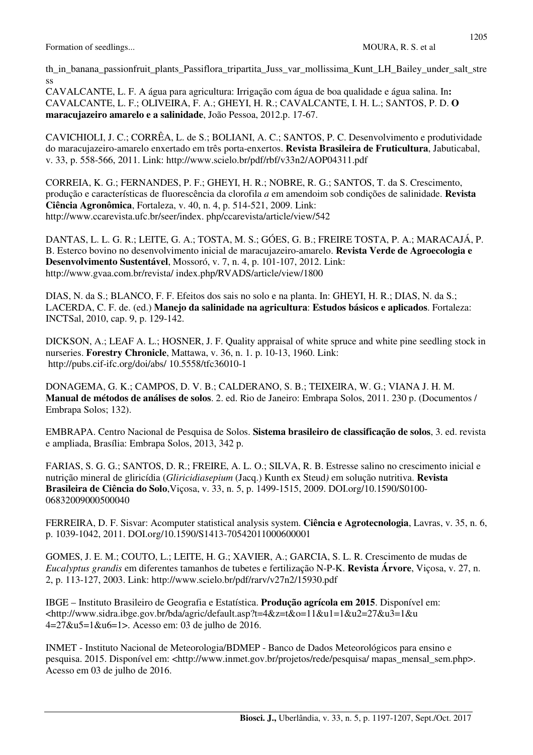ss

CAVALCANTE, L. F. A água para agricultura: Irrigação com água de boa qualidade e água salina. In**:**  CAVALCANTE, L. F.; OLIVEIRA, F. A.; GHEYI, H. R.; CAVALCANTE, I. H. L.; SANTOS, P. D. **O maracujazeiro amarelo e a salinidade**, João Pessoa, 2012.p. 17-67.

CAVICHIOLI, J. C.; CORRÊA, L. de S.; BOLIANI, A. C.; SANTOS, P. C. Desenvolvimento e produtividade do maracujazeiro-amarelo enxertado em três porta-enxertos. **Revista Brasileira de Fruticultura**, Jabuticabal, v. 33, p. 558-566, 2011. Link: http://www.scielo.br/pdf/rbf/v33n2/AOP04311.pdf

CORREIA, K. G.; FERNANDES, P. F.; GHEYI, H. R.; NOBRE, R. G.; SANTOS, T. da S. Crescimento, produção e características de fluorescência da clorofila *a* em amendoim sob condições de salinidade. **Revista Ciência Agronômica**, Fortaleza, v. 40, n. 4, p. 514-521, 2009. Link: http://www.ccarevista.ufc.br/seer/index. php/ccarevista/article/view/542

DANTAS, L. L. G. R.; LEITE, G. A.; TOSTA, M. S.; GÓES, G. B.; FREIRE TOSTA, P. A.; MARACAJÁ, P. B. Esterco bovino no desenvolvimento inicial de maracujazeiro-amarelo. **Revista Verde de Agroecologia e Desenvolvimento Sustentável**, Mossoró, v. 7, n. 4, p. 101-107, 2012. Link: http://www.gvaa.com.br/revista/ index.php/RVADS/article/view/1800

DIAS, N. da S.; BLANCO, F. F. Efeitos dos sais no solo e na planta. In: GHEYI, H. R.; DIAS, N. da S.; LACERDA, C. F. de. (ed.) **Manejo da salinidade na agricultura**: **Estudos básicos e aplicados**. Fortaleza: INCTSal, 2010, cap. 9, p. 129-142.

DICKSON, A.; LEAF A. L.; HOSNER, J. F. Quality appraisal of white spruce and white pine seedling stock in nurseries. **Forestry Chronicle**, Mattawa, v. 36, n. 1. p. 10-13, 1960. Link: http://pubs.cif-ifc.org/doi/abs/ 10.5558/tfc36010-1

DONAGEMA, G. K.; CAMPOS, D. V. B.; CALDERANO, S. B.; TEIXEIRA, W. G.; VIANA J. H. M. **Manual de métodos de análises de solos**. 2. ed. Rio de Janeiro: Embrapa Solos, 2011. 230 p. (Documentos / Embrapa Solos; 132).

EMBRAPA. Centro Nacional de Pesquisa de Solos. **Sistema brasileiro de classificação de solos**, 3. ed. revista e ampliada, Brasília: Embrapa Solos, 2013, 342 p.

FARIAS, S. G. G.; SANTOS, D. R.; FREIRE, A. L. O.; SILVA, R. B. Estresse salino no crescimento inicial e nutrição mineral de gliricídia (*Gliricidiasepium* (Jacq.) Kunth ex Steud*)* em solução nutritiva. **Revista Brasileira de Ciência do Solo**,Viçosa, v. 33, n. 5, p. 1499-1515, 2009. DOI.org/10.1590/S0100- 06832009000500040

FERREIRA, D. F. Sisvar: Acomputer statistical analysis system. **Ciência e Agrotecnologia**, Lavras, v. 35, n. 6, p. 1039-1042, 2011. DOI.org/10.1590/S1413-70542011000600001

GOMES, J. E. M.; COUTO, L.; LEITE, H. G.; XAVIER, A.; GARCIA, S. L. R. Crescimento de mudas de *Eucalyptus grandis* em diferentes tamanhos de tubetes e fertilização N-P-K. **Revista Árvore**, Viçosa, v. 27, n. 2, p. 113-127, 2003. Link: http://www.scielo.br/pdf/rarv/v27n2/15930.pdf

IBGE – Instituto Brasileiro de Geografia e Estatística. **Produção agrícola em 2015**. Disponível em: <http://www.sidra.ibge.gov.br/bda/agric/default.asp?t=4&z=t&o=11&u1=1&u2=27&u3=1&u 4=27&u5=1&u6=1>. Acesso em: 03 de julho de 2016.

INMET - Instituto Nacional de Meteorologia/BDMEP - Banco de Dados Meteorológicos para ensino e pesquisa. 2015. Disponível em: <http://www.inmet.gov.br/projetos/rede/pesquisa/ mapas\_mensal\_sem.php>. Acesso em 03 de julho de 2016.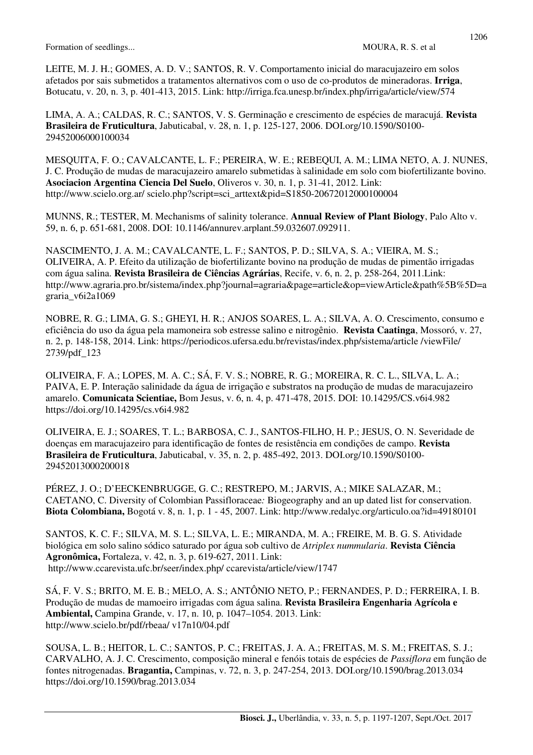LEITE, M. J. H.; GOMES, A. D. V.; SANTOS, R. V. Comportamento inicial do maracujazeiro em solos afetados por sais submetidos a tratamentos alternativos com o uso de co-produtos de mineradoras. **Irriga**, Botucatu, v. 20, n. 3, p. 401-413, 2015. Link: http://irriga.fca.unesp.br/index.php/irriga/article/view/574

LIMA, A. A.; CALDAS, R. C.; SANTOS, V. S. Germinação e crescimento de espécies de maracujá. **Revista Brasileira de Fruticultura**, Jabuticabal, v. 28, n. 1, p. 125-127, 2006. DOI.org/10.1590/S0100- 29452006000100034

MESQUITA, F. O.; CAVALCANTE, L. F.; PEREIRA, W. E.; REBEQUI, A. M.; LIMA NETO, A. J. NUNES, J. C. Produção de mudas de maracujazeiro amarelo submetidas à salinidade em solo com biofertilizante bovino. **Asociacion Argentina Ciencia Del Suelo**, Oliveros v. 30, n. 1, p. 31-41, 2012. Link: http://www.scielo.org.ar/ scielo.php?script=sci\_arttext&pid=S1850-20672012000100004

MUNNS, R.; TESTER, M. Mechanisms of salinity tolerance. **Annual Review of Plant Biology**, Palo Alto v. 59, n. 6, p. 651-681, 2008. DOI: 10.1146/annurev.arplant.59.032607.092911.

NASCIMENTO, J. A. M.; CAVALCANTE, L. F.; SANTOS, P. D.; SILVA, S. A.; VIEIRA, M. S.; OLIVEIRA, A. P. Efeito da utilização de biofertilizante bovino na produção de mudas de pimentão irrigadas com água salina. **Revista Brasileira de Ciências Agrárias**, Recife, v. 6, n. 2, p. 258-264, 2011.Link: http://www.agraria.pro.br/sistema/index.php?journal=agraria&page=article&op=viewArticle&path%5B%5D=a graria\_v6i2a1069

NOBRE, R. G.; LIMA, G. S.; GHEYI, H. R.; ANJOS SOARES, L. A.; SILVA, A. O. Crescimento, consumo e eficiência do uso da água pela mamoneira sob estresse salino e nitrogênio. **Revista Caatinga**, Mossoró, v. 27, n. 2, p. 148-158, 2014. Link: https://periodicos.ufersa.edu.br/revistas/index.php/sistema/article /viewFile/ 2739/pdf\_123

OLIVEIRA, F. A.; LOPES, M. A. C.; SÁ, F. V. S.; NOBRE, R. G.; MOREIRA, R. C. L., SILVA, L. A.; PAIVA, E. P. Interação salinidade da água de irrigação e substratos na produção de mudas de maracujazeiro amarelo. **Comunicata Scientiae,** Bom Jesus, v. 6, n. 4, p. 471-478, 2015. DOI: 10.14295/CS.v6i4.982 https://doi.org/10.14295/cs.v6i4.982

OLIVEIRA, E. J.; SOARES, T. L.; BARBOSA, C. J., SANTOS-FILHO, H. P.; JESUS, O. N. Severidade de doenças em maracujazeiro para identificação de fontes de resistência em condições de campo. **Revista Brasileira de Fruticultura**, Jabuticabal, v. 35, n. 2, p. 485-492, 2013. DOI.org/10.1590/S0100- 29452013000200018

PÉREZ, J. O.; D'EECKENBRUGGE, G. C.; RESTREPO, M.; JARVIS, A.; MIKE SALAZAR, M.; CAETANO, C. Diversity of Colombian Passifloraceae*:* Biogeography and an up dated list for conservation. **Biota Colombiana,** Bogotá v. 8, n. 1, p. 1 - 45, 2007. Link: http://www.redalyc.org/articulo.oa?id=49180101

SANTOS, K. C. F.; SILVA, M. S. L.; SILVA, L. E.; MIRANDA, M. A.; FREIRE, M. B. G. S. Atividade biológica em solo salino sódico saturado por água sob cultivo de *Atriplex nummularia*. **Revista Ciência Agronômica,** Fortaleza, v. 42, n. 3, p. 619-627, 2011. Link: http://www.ccarevista.ufc.br/seer/index.php/ ccarevista/article/view/1747

SÁ, F. V. S.; BRITO, M. E. B.; MELO, A. S.; ANTÔNIO NETO, P.; FERNANDES, P. D.; FERREIRA, I. B. Produção de mudas de mamoeiro irrigadas com água salina. **Revista Brasileira Engenharia Agrícola e Ambiental,** Campina Grande, v. 17, n. 10, p. 1047–1054. 2013. Link: http://www.scielo.br/pdf/rbeaa/ v17n10/04.pdf

SOUSA, L. B.; HEITOR, L. C.; SANTOS, P. C.; FREITAS, J. A. A.; FREITAS, M. S. M.; FREITAS, S. J.; CARVALHO, A. J. C. Crescimento, composição mineral e fenóis totais de espécies de *Passiflora* em função de fontes nitrogenadas. **Bragantia,** Campinas, v. 72, n. 3, p. 247-254, 2013. DOI.org/10.1590/brag.2013.034 https://doi.org/10.1590/brag.2013.034